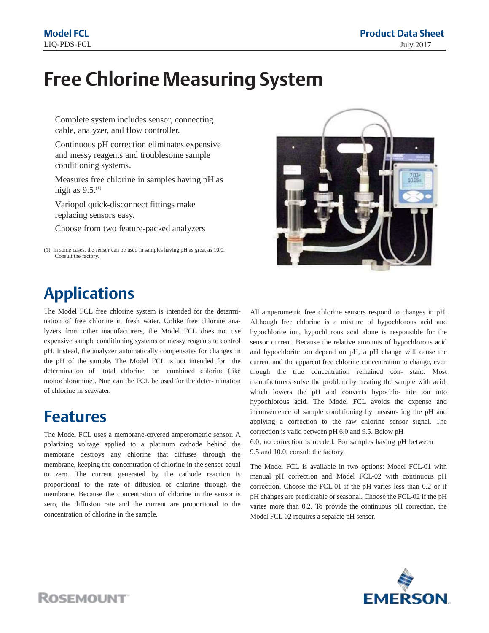# **Free Chlorine Measuring System**

Complete system includes sensor, connecting cable, analyzer, and flow controller.

Continuous pH correction eliminates expensive and messy reagents and troublesome sample conditioning systems.

Measures free chlorine in samples having pH as high as  $9.5$ .<sup>(1)</sup>

Variopol quick-disconnect fittings make replacing sensors easy.

Choose from two feature-packed analyzers

## **Applications**

The Model FCL free chlorine system is intended for the determination of free chlorine in fresh water. Unlike free chlorine analyzers from other manufacturers, the Model FCL does not use expensive sample conditioning systems or messy reagents to control pH. Instead, the analyzer automatically compensates for changes in the pH of the sample. The Model FCL is not intended for the determination of total chlorine or combined chlorine (like monochloramine). Nor, can the FCL be used for the deter- mination of chlorine in seawater.

### **Features**

The Model FCL uses a membrane-covered amperometric sensor. A polarizing voltage applied to a platinum cathode behind the membrane destroys any chlorine that diffuses through the membrane, keeping the concentration of chlorine in the sensor equal to zero. The current generated by the cathode reaction is proportional to the rate of diffusion of chlorine through the membrane. Because the concentration of chlorine in the sensor is zero, the diffusion rate and the current are proportional to the concentration of chlorine in the sample.



All amperometric free chlorine sensors respond to changes in pH. Although free chlorine is a mixture of hypochlorous acid and hypochlorite ion, hypochlorous acid alone is responsible for the sensor current. Because the relative amounts of hypochlorous acid and hypochlorite ion depend on pH, a pH change will cause the current and the apparent free chlorine concentration to change, even though the true concentration remained con- stant. Most manufacturers solve the problem by treating the sample with acid, which lowers the pH and converts hypochlo- rite ion into hypochlorous acid. The Model FCL avoids the expense and inconvenience of sample conditioning by measur- ing the pH and applying a correction to the raw chlorine sensor signal. The correction is valid between pH 6.0 and 9.5. Below pH

6.0, no correction is needed. For samples having pH between 9.5 and 10.0, consult the factory.

The Model FCL is available in two options: Model FCL-01 with manual pH correction and Model FCL-02 with continuous pH correction. Choose the FCL-01 if the pH varies less than 0.2 or if pH changes are predictable or seasonal. Choose the FCL-02 if the pH varies more than 0.2. To provide the continuous pH correction, the Model FCL-02 requires a separate pH sensor.



**ROSEMOUNT** 

<sup>(1)</sup> In some cases, the sensor can be used in samples having pH as great as 10.0. Consult the factory.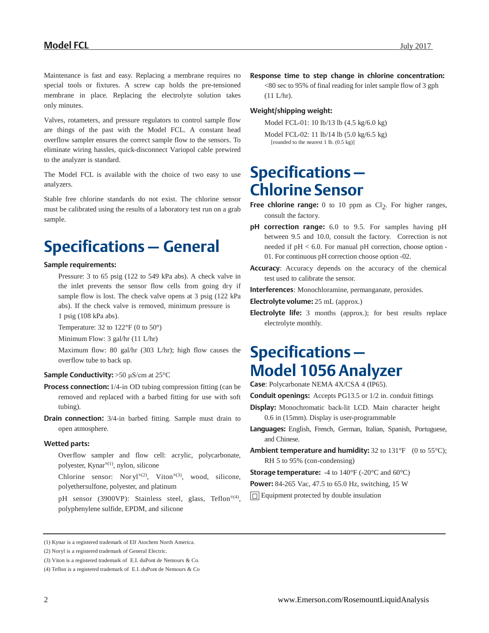Maintenance is fast and easy. Replacing a membrane requires no special tools or fixtures. A screw cap holds the pre-tensioned membrane in place. Replacing the electrolyte solution takes only minutes.

Valves, rotameters, and pressure regulators to control sample flow are things of the past with the Model FCL. A constant head overflow sampler ensures the correct sample flow to the sensors. To eliminate wiring hassles, quick-disconnect Variopol cable prewired to the analyzer is standard.

The Model FCL is available with the choice of two easy to use analyzers.

Stable free chlorine standards do not exist. The chlorine sensor must be calibrated using the results of a laboratory test run on a grab sample.

## **Specifications– General**

#### **Sample requirements:**

Pressure: 3 to 65 psig (122 to 549 kPa abs). A check valve in the inlet prevents the sensor flow cells from going dry if sample flow is lost. The check valve opens at 3 psig (122 kPa abs). If the check valve is removed, minimum pressure is 1 psig (108 kPa abs).

Temperature: 32 to  $122^{\circ}F$  (0 to  $50^{\circ}$ )

Minimum Flow: 3 gal/hr (11 L/hr)

Maximum flow: 80 gal/hr (303 L/hr); high flow causes the overflow tube to back up.

#### **Sample Conductivity:** >50 μS/cm at 25°C

- **Process connection:** 1/4-in OD tubing compression fitting (can be removed and replaced with a barbed fitting for use with soft tubing).
- **Drain connection:** 3/4-in barbed fitting. Sample must drain to open atmosphere.

#### **Wetted parts:**

- Overflow sampler and flow cell: acrylic, polycarbonate, polyester, Kynar®(1) , nylon, silicone
- Chlorine sensor: Noryl®(2), Viton®(3), wood, silicone, polyethersulfone, polyester, and platinum
- pH sensor (3900VP): Stainless steel, glass, Teflon®<sup>(4)</sup>, polyphenylene sulfide, EPDM, and silicone

**Response time to step change in chlorine concentration:**

<80 sec to 95% of final reading for inlet sample flow of 3 gph (11 L/hr).

#### **Weight/shipping weight:**

Model FCL-01: 10 lb/13 lb (4.5 kg/6.0 kg)

Model FCL-02: 11 lb/14 lb (5.0 kg/6.5 kg) [rounded to the nearest 1 lb. (0.5 kg)]

## **Specifications– Chlorine Sensor**

- **Free chlorine range:** 0 to 10 ppm as Cl<sub>2</sub>. For higher ranges, consult the factory.
- **pH correction range:** 6.0 to 9.5. For samples having pH between 9.5 and 10.0, consult the factory. Correction is not needed if pH < 6.0. For manual pH correction, choose option - 01. For continuous pH correction choose option -02.
- **Accuracy**: Accuracy depends on the accuracy of the chemical test used to calibrate the sensor.

**Interferences**: Monochloramine, permanganate, peroxides.

**Electrolyte volume:** 25 mL (approx.)

**Electrolyte life:** 3 months (approx.); for best results replace electrolyte monthly.

## **Specifications– Model 1056 Analyzer**

**Case**: Polycarbonate NEMA 4X/CSA 4 (IP65).

**Conduit openings:** Accepts PG13.5 or 1/2 in. conduit fittings

- **Display:** Monochromatic back-lit LCD. Main character height 0.6 in (15mm). Display is user-programmable
- **Languages:** English, French, German, Italian, Spanish, Portuguese, and Chinese.
- **Ambient temperature and humidity:** 32 to 131°F (0 to 55°C); RH 5 to 95% (con-condensing)

**Storage temperature:** -4 to 140°F (-20°C and 60°C)

**Power:** 84-265 Vac, 47.5 to 65.0 Hz, switching, 15 W

Equipment protected by double insulation

<sup>(1)</sup> Kynar is a registered trademark of Elf Atochem North America.

<sup>(2)</sup> Noryl is a registered trademark of General Electric.

<sup>(3)</sup> Viton is a registered trademark of E.I. duPont de Nemours & Co.

<sup>(4)</sup> Teflon is a registered trademark of E.I. duPont de Nemours & Co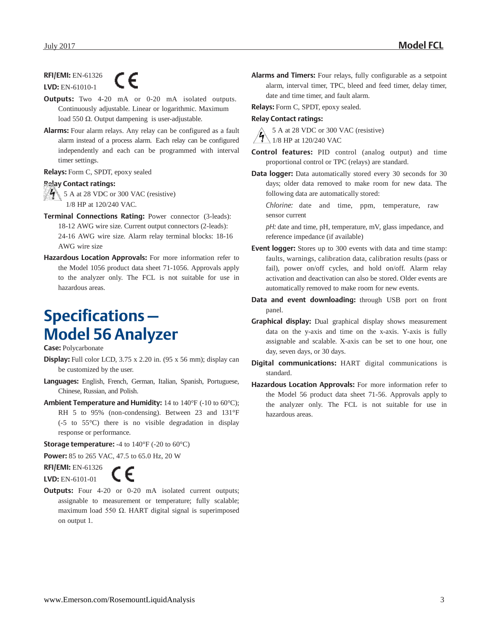#### **RFI/EMI:** EN-61326 C E **LVD:** EN-61010-1

**Outputs:** Two 4-20 mA or 0-20 mA isolated outputs. Continuously adjustable. Linear or logarithmic. Maximum load 550 Ω. Output dampening is user-adjustable.

**Alarms:** Four alarm relays. Any relay can be configured as a fault alarm instead of a process alarm. Each relay can be configured independently and each can be programmed with interval timer settings.

**Relays:** Form C, SPDT, epoxy sealed

#### **Relay Contact ratings:**

 $\sqrt{4}$  5 A at 28 VDC or 300 VAC (resistive) 1/8 HP at 120/240 VAC.

- **Terminal Connections Rating:** Power connector (3-leads): 18-12 AWG wire size. Current output connectors (2-leads): 24-16 AWG wire size. Alarm relay terminal blocks: 18-16 AWG wire size
- **Hazardous Location Approvals:** For more information refer to the Model 1056 product data sheet 71-1056. Approvals apply to the analyzer only. The FCL is not suitable for use in hazardous areas.

## **Specifications– Model 56 Analyzer**

**Case:** Polycarbonate

- **Display:** Full color LCD, 3.75 x 2.20 in. (95 x 56 mm); display can be customized by the user.
- **Languages:** English, French, German, Italian, Spanish, Portuguese, Chinese, Russian, and Polish.
- **Ambient Temperature and Humidity:** 14 to 140°F (-10 to 60°C); RH 5 to 95% (non-condensing). Between 23 and 131°F (-5 to 55°C) there is no visible degradation in display response or performance.

**Storage temperature:** -4 to 140°F (-20 to 60°C)

**Power:** 85 to 265 VAC, 47.5 to 65.0 Hz, 20 W

**RFI/EMI:** EN-61326 **LVD:** EN-6101-01



**Outputs:** Four 4-20 or 0-20 mA isolated current outputs; assignable to measurement or temperature; fully scalable; maximum load 550 Ω. HART digital signal is superimposed on output 1.

**Alarms and Timers:** Four relays, fully configurable as a setpoint alarm, interval timer, TPC, bleed and feed timer, delay timer, date and time timer, and fault alarm.

**Relays:** Form C, SPDT, epoxy sealed.

#### **Relay Contact ratings:**

5 A at 28 VDC or 300 VAC (resistive)  $\sqrt{4}$  1/8 HP at 120/240 VAC

- **Control features:** PID control (analog output) and time proportional control or TPC (relays) are standard.
- **Data logger:** Data automatically stored every 30 seconds for 30 days; older data removed to make room for new data. The following data are automatically stored:

*Chlorine:* date and time, ppm, temperature, raw sensor current

*pH:* date and time, pH, temperature, mV, glass impedance, and reference impedance (if available)

- **Event logger:** Stores up to 300 events with data and time stamp: faults, warnings, calibration data, calibration results (pass or fail), power on/off cycles, and hold on/off. Alarm relay activation and deactivation can also be stored. Older events are automatically removed to make room for new events.
- **Data and event downloading:** through USB port on front panel.
- **Graphical display:** Dual graphical display shows measurement data on the y-axis and time on the x-axis. Y-axis is fully assignable and scalable. X-axis can be set to one hour, one day, seven days, or 30 days.
- **Digital communications:** HART digital communications is standard.
- **Hazardous Location Approvals:** For more information refer to the Model 56 product data sheet 71-56. Approvals apply to the analyzer only. The FCL is not suitable for use in hazardous areas.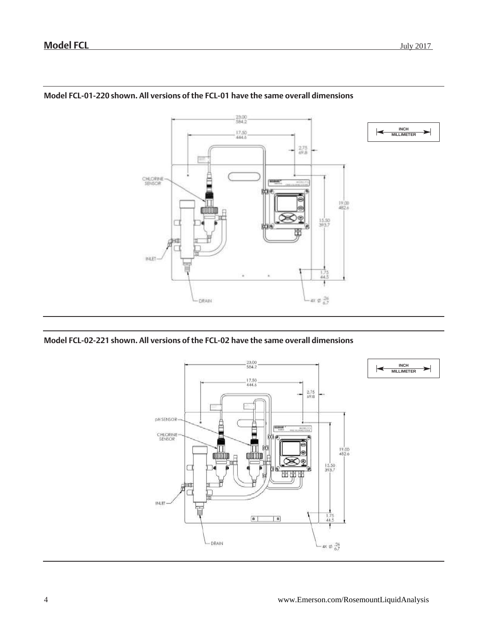

### **Model FCL-01-220 shown. All versions of the FCL-01 have the same overall dimensions**

### **Model FCL-02-221 shown. All versions of the FCL-02 have the same overall dimensions**

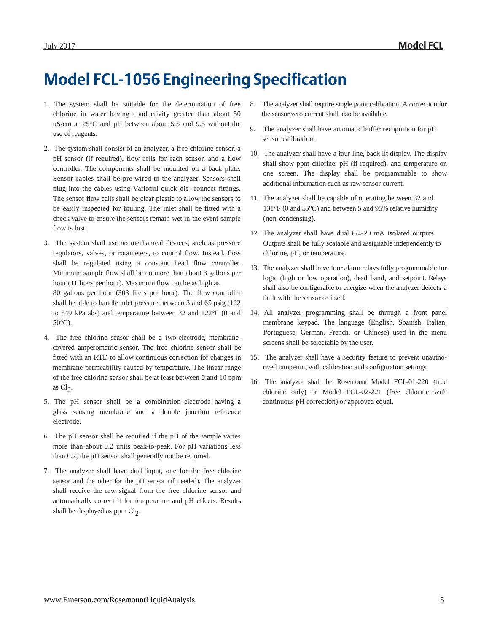## **Model FCL-1056 EngineeringSpecification**

- 1. The system shall be suitable for the determination of free chlorine in water having conductivity greater than about 50 uS/cm at 25°C and pH between about 5.5 and 9.5 without the use of reagents.
- 2. The system shall consist of an analyzer, a free chlorine sensor, a pH sensor (if required), flow cells for each sensor, and a flow controller. The components shall be mounted on a back plate. Sensor cables shall be pre-wired to the analyzer. Sensors shall plug into the cables using Variopol quick dis- connect fittings. The sensor flow cells shall be clear plastic to allow the sensors to be easily inspected for fouling. The inlet shall be fitted with a check valve to ensure the sensors remain wet in the event sample flow is lost.
- 3. The system shall use no mechanical devices, such as pressure regulators, valves, or rotameters, to control flow. Instead, flow shall be regulated using a constant head flow controller. Minimum sample flow shall be no more than about 3 gallons per hour (11 liters per hour). Maximum flow can be as high as 80 gallons per hour (303 liters per hour). The flow controller shall be able to handle inlet pressure between 3 and 65 psig (122 to 549 kPa abs) and temperature between 32 and 122°F (0 and  $50^{\circ}$ C).
- 4. The free chlorine sensor shall be a two-electrode, membranecovered amperometric sensor. The free chlorine sensor shall be fitted with an RTD to allow continuous correction for changes in membrane permeability caused by temperature. The linear range of the free chlorine sensor shall be at least between 0 and 10 ppm as  $Cl<sub>2</sub>$ .
- 5. The pH sensor shall be a combination electrode having a glass sensing membrane and a double junction reference electrode.
- 6. The pH sensor shall be required if the pH of the sample varies more than about 0.2 units peak-to-peak. For pH variations less than 0.2, the pH sensor shall generally not be required.
- 7. The analyzer shall have dual input, one for the free chlorine sensor and the other for the pH sensor (if needed). The analyzer shall receive the raw signal from the free chlorine sensor and automatically correct it for temperature and pH effects. Results shall be displayed as  $ppm Cl<sub>2</sub>$ .
- 8. The analyzer shall require single point calibration. A correction for the sensor zero current shall also be available.
- 9. The analyzer shall have automatic buffer recognition for pH sensor calibration.
- 10. The analyzer shall have a four line, back lit display. The display shall show ppm chlorine, pH (if required), and temperature on one screen. The display shall be programmable to show additional information such as raw sensor current.
- 11. The analyzer shall be capable of operating between 32 and 131°F (0 and 55°C) and between 5 and 95% relative humidity (non-condensing).
- 12. The analyzer shall have dual 0/4-20 mA isolated outputs. Outputs shall be fully scalable and assignable independently to chlorine, pH, or temperature.
- 13. The analyzer shall have four alarm relays fully programmable for logic (high or low operation), dead band, and setpoint. Relays shall also be configurable to energize when the analyzer detects a fault with the sensor or itself.
- 14. All analyzer programming shall be through a front panel membrane keypad. The language (English, Spanish, Italian, Portuguese, German, French, or Chinese) used in the menu screens shall be selectable by the user.
- 15. The analyzer shall have a security feature to prevent unauthorized tampering with calibration and configuration settings.
- 16. The analyzer shall be Rosemount Model FCL-01-220 (free chlorine only) or Model FCL-02-221 (free chlorine with continuous pH correction) or approved equal.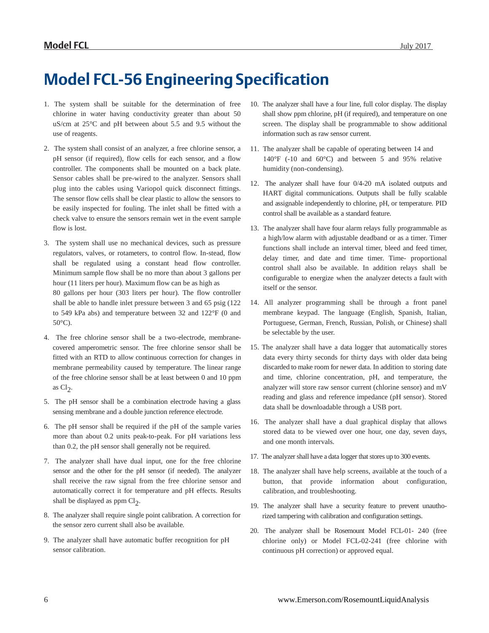## **Model FCL-56 Engineering Specification**

- 1. The system shall be suitable for the determination of free chlorine in water having conductivity greater than about 50 uS/cm at 25°C and pH between about 5.5 and 9.5 without the use of reagents.
- 2. The system shall consist of an analyzer, a free chlorine sensor, a pH sensor (if required), flow cells for each sensor, and a flow controller. The components shall be mounted on a back plate. Sensor cables shall be pre-wired to the analyzer. Sensors shall plug into the cables using Variopol quick disconnect fittings. The sensor flow cells shall be clear plastic to allow the sensors to be easily inspected for fouling. The inlet shall be fitted with a check valve to ensure the sensors remain wet in the event sample flow is lost.
- 3. The system shall use no mechanical devices, such as pressure regulators, valves, or rotameters, to control flow. In-stead, flow shall be regulated using a constant head flow controller. Minimum sample flow shall be no more than about 3 gallons per hour (11 liters per hour). Maximum flow can be as high as 80 gallons per hour (303 liters per hour). The flow controller shall be able to handle inlet pressure between 3 and 65 psig (122 to 549 kPa abs) and temperature between 32 and 122°F (0 and 50°C).
- 4. The free chlorine sensor shall be a two-electrode, membranecovered amperometric sensor. The free chlorine sensor shall be fitted with an RTD to allow continuous correction for changes in membrane permeability caused by temperature. The linear range of the free chlorine sensor shall be at least between 0 and 10 ppm as  $Cl<sub>2</sub>$ .
- 5. The pH sensor shall be a combination electrode having a glass sensing membrane and a double junction reference electrode.
- 6. The pH sensor shall be required if the pH of the sample varies more than about 0.2 units peak-to-peak. For pH variations less than 0.2, the pH sensor shall generally not be required.
- 7. The analyzer shall have dual input, one for the free chlorine sensor and the other for the pH sensor (if needed). The analyzer shall receive the raw signal from the free chlorine sensor and automatically correct it for temperature and pH effects. Results shall be displayed as  $ppm Cl<sub>2</sub>$ .
- 8. The analyzer shall require single point calibration. A correction for the sensor zero current shall also be available.
- 9. The analyzer shall have automatic buffer recognition for pH sensor calibration.
- 10. The analyzer shall have a four line, full color display. The display shall show ppm chlorine, pH (if required), and temperature on one screen. The display shall be programmable to show additional information such as raw sensor current.
- 11. The analyzer shall be capable of operating between 14 and 140°F (-10 and 60°C) and between 5 and 95% relative humidity (non-condensing).
- 12. The analyzer shall have four 0/4-20 mA isolated outputs and HART digital communications. Outputs shall be fully scalable and assignable independently to chlorine, pH, or temperature. PID control shall be available as a standard feature.
- 13. The analyzer shall have four alarm relays fully programmable as a high/low alarm with adjustable deadband or as a timer. Timer functions shall include an interval timer, bleed and feed timer, delay timer, and date and time timer. Time- proportional control shall also be available. In addition relays shall be configurable to energize when the analyzer detects a fault with itself or the sensor.
- 14. All analyzer programming shall be through a front panel membrane keypad. The language (English, Spanish, Italian, Portuguese, German, French, Russian, Polish, or Chinese) shall be selectable by the user.
- 15. The analyzer shall have a data logger that automatically stores data every thirty seconds for thirty days with older data being discarded to make room for newer data. In addition to storing date and time, chlorine concentration, pH, and temperature, the analyzer will store raw sensor current (chlorine sensor) and mV reading and glass and reference impedance (pH sensor). Stored data shall be downloadable through a USB port.
- 16. The analyzer shall have a dual graphical display that allows stored data to be viewed over one hour, one day, seven days, and one month intervals.
- 17. The analyzer shall have a data logger that stores up to 300 events.
- 18. The analyzer shall have help screens, available at the touch of a button, that provide information about configuration, calibration, and troubleshooting.
- 19. The analyzer shall have a security feature to prevent unauthorized tampering with calibration and configuration settings.
- 20. The analyzer shall be Rosemount Model FCL-01- 240 (free chlorine only) or Model FCL-02-241 (free chlorine with continuous pH correction) or approved equal.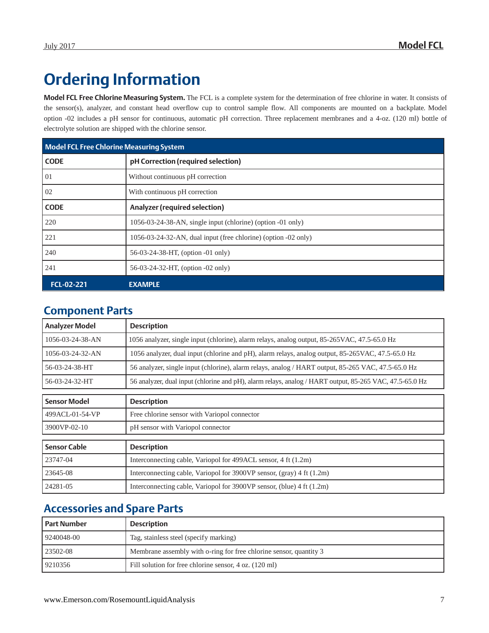# **Ordering Information**

**Model FCL Free Chlorine Measuring System.** The FCL is a complete system for the determination of free chlorine in water. It consists of the sensor(s), analyzer, and constant head overflow cup to control sample flow. All components are mounted on a backplate. Model option -02 includes a pH sensor for continuous, automatic pH correction. Three replacement membranes and a 4-oz. (120 ml) bottle of electrolyte solution are shipped with the chlorine sensor.

| Model FCL Free Chlorine Measuring System |                                                                |  |  |
|------------------------------------------|----------------------------------------------------------------|--|--|
| <b>CODE</b>                              | pH Correction (required selection)                             |  |  |
| 01                                       | Without continuous pH correction                               |  |  |
| 02                                       | With continuous pH correction                                  |  |  |
| <b>CODE</b>                              | Analyzer (required selection)                                  |  |  |
| 220                                      | 1056-03-24-38-AN, single input (chlorine) (option -01 only)    |  |  |
| 221                                      | 1056-03-24-32-AN, dual input (free chlorine) (option -02 only) |  |  |
| 240                                      | 56-03-24-38-HT, (option -01 only)                              |  |  |
| 241                                      | 56-03-24-32-HT, (option -02 only)                              |  |  |
| FCL-02-221                               | <b>EXAMPLE</b>                                                 |  |  |

### **Component Parts**

| <b>Analyzer Model</b> | <b>Description</b>                                                                                      |  |
|-----------------------|---------------------------------------------------------------------------------------------------------|--|
| 1056-03-24-38-AN      | 1056 analyzer, single input (chlorine), alarm relays, analog output, 85-265VAC, 47.5-65.0 Hz            |  |
| 1056-03-24-32-AN      | 1056 analyzer, dual input (chlorine and pH), alarm relays, analog output, 85-265VAC, 47.5-65.0 Hz       |  |
| 56-03-24-38-HT        | 56 analyzer, single input (chlorine), alarm relays, analog / HART output, 85-265 VAC, 47.5-65.0 Hz      |  |
| 56-03-24-32-HT        | 56 analyzer, dual input (chlorine and pH), alarm relays, analog / HART output, 85-265 VAC, 47.5-65.0 Hz |  |
| <b>Sensor Model</b>   | <b>Description</b>                                                                                      |  |
| 499ACL-01-54-VP       | Free chlorine sensor with Variopol connector                                                            |  |
| 3900VP-02-10          | pH sensor with Variopol connector                                                                       |  |
| <b>Sensor Cable</b>   | <b>Description</b>                                                                                      |  |
| 23747-04              | Interconnecting cable, Variopol for 499ACL sensor, 4 ft (1.2m)                                          |  |
| 23645-08              | Interconnecting cable, Variopol for 3900VP sensor, (gray) 4 ft $(1.2m)$                                 |  |
| 24281-05              | Interconnecting cable, Variopol for 3900VP sensor, (blue) 4 ft (1.2m)                                   |  |

### **Accessories and Spare Parts**

| l Part Number | <b>Description</b>                                                 |
|---------------|--------------------------------------------------------------------|
| 9240048-00    | Tag, stainless steel (specify marking)                             |
| 23502-08      | Membrane assembly with o-ring for free chlorine sensor, quantity 3 |
| 9210356       | Fill solution for free chlorine sensor, 4 oz. (120 ml)             |